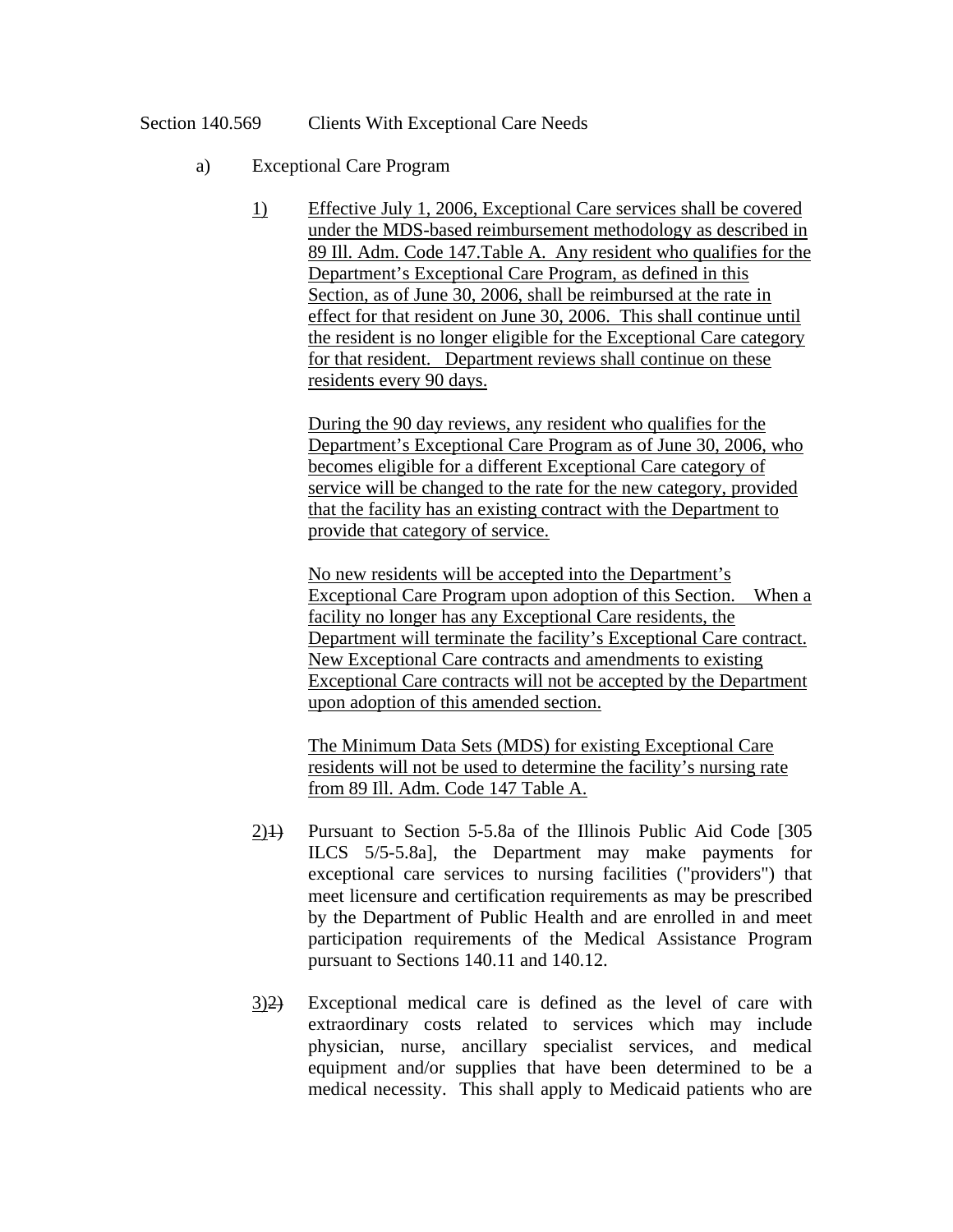## Section 140.569 Clients With Exceptional Care Needs

- a) Exceptional Care Program
	- 1) Effective July 1, 2006, Exceptional Care services shall be covered under the MDS-based reimbursement methodology as described in 89 Ill. Adm. Code 147.Table A. Any resident who qualifies for the Department's Exceptional Care Program, as defined in this Section, as of June 30, 2006, shall be reimbursed at the rate in effect for that resident on June 30, 2006. This shall continue until the resident is no longer eligible for the Exceptional Care category for that resident. Department reviews shall continue on these residents every 90 days.

During the 90 day reviews, any resident who qualifies for the Department's Exceptional Care Program as of June 30, 2006, who becomes eligible for a different Exceptional Care category of service will be changed to the rate for the new category, provided that the facility has an existing contract with the Department to provide that category of service.

No new residents will be accepted into the Department's Exceptional Care Program upon adoption of this Section. When a facility no longer has any Exceptional Care residents, the Department will terminate the facility's Exceptional Care contract. New Exceptional Care contracts and amendments to existing Exceptional Care contracts will not be accepted by the Department upon adoption of this amended section.

The Minimum Data Sets (MDS) for existing Exceptional Care residents will not be used to determine the facility's nursing rate from 89 Ill. Adm. Code 147 Table A.

- 2)1) Pursuant to Section 5-5.8a of the Illinois Public Aid Code [305 ILCS 5/5-5.8a], the Department may make payments for exceptional care services to nursing facilities ("providers") that meet licensure and certification requirements as may be prescribed by the Department of Public Health and are enrolled in and meet participation requirements of the Medical Assistance Program pursuant to Sections 140.11 and 140.12.
- 3)2) Exceptional medical care is defined as the level of care with extraordinary costs related to services which may include physician, nurse, ancillary specialist services, and medical equipment and/or supplies that have been determined to be a medical necessity. This shall apply to Medicaid patients who are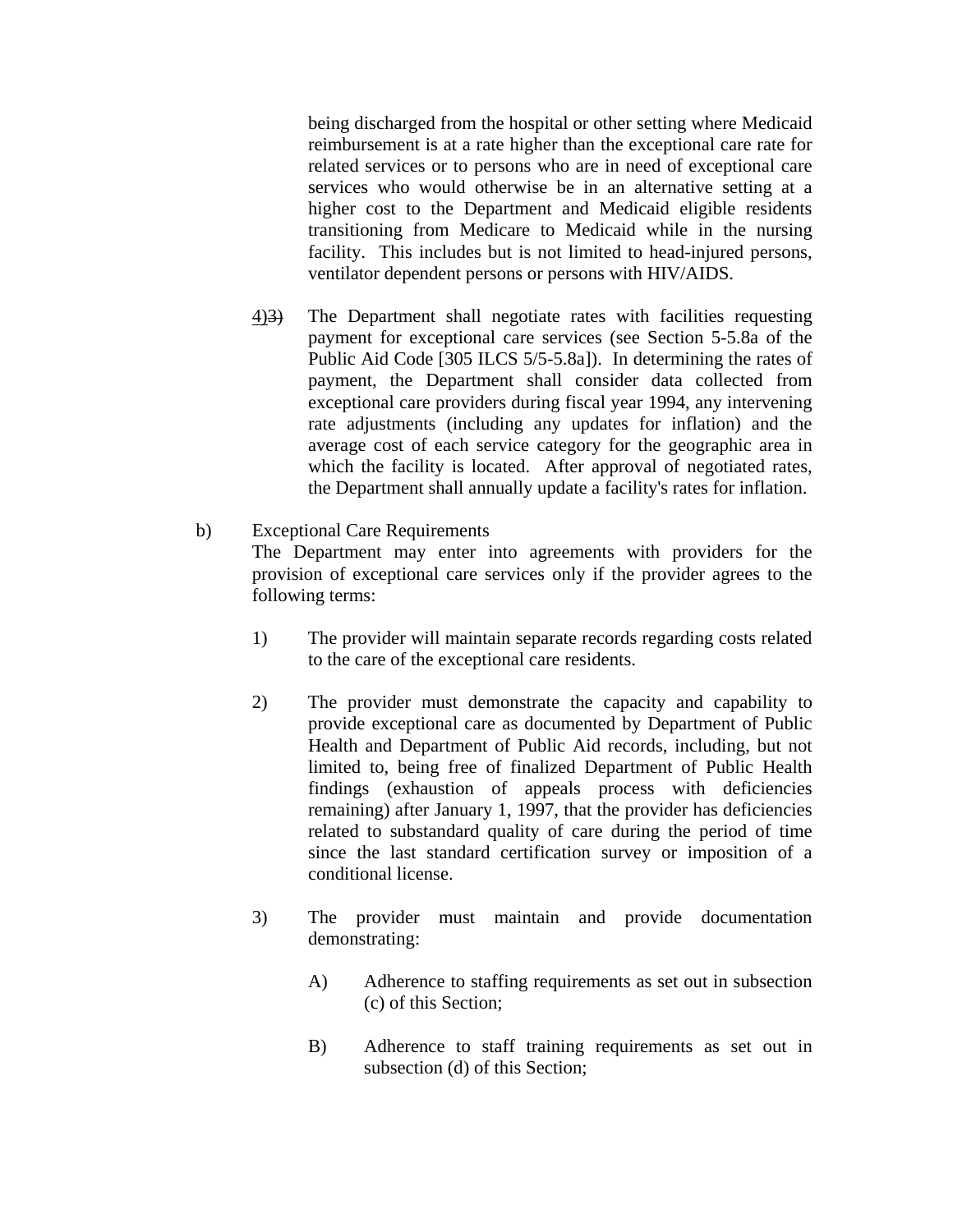being discharged from the hospital or other setting where Medicaid reimbursement is at a rate higher than the exceptional care rate for related services or to persons who are in need of exceptional care services who would otherwise be in an alternative setting at a higher cost to the Department and Medicaid eligible residents transitioning from Medicare to Medicaid while in the nursing facility. This includes but is not limited to head-injured persons, ventilator dependent persons or persons with HIV/AIDS.

- 4)3) The Department shall negotiate rates with facilities requesting payment for exceptional care services (see Section 5-5.8a of the Public Aid Code [305 ILCS 5/5-5.8a]). In determining the rates of payment, the Department shall consider data collected from exceptional care providers during fiscal year 1994, any intervening rate adjustments (including any updates for inflation) and the average cost of each service category for the geographic area in which the facility is located. After approval of negotiated rates, the Department shall annually update a facility's rates for inflation.
- b) Exceptional Care Requirements The Department may enter into agreements with providers for the provision of exceptional care services only if the provider agrees to the following terms:
	- 1) The provider will maintain separate records regarding costs related to the care of the exceptional care residents.
	- 2) The provider must demonstrate the capacity and capability to provide exceptional care as documented by Department of Public Health and Department of Public Aid records, including, but not limited to, being free of finalized Department of Public Health findings (exhaustion of appeals process with deficiencies remaining) after January 1, 1997, that the provider has deficiencies related to substandard quality of care during the period of time since the last standard certification survey or imposition of a conditional license.
	- 3) The provider must maintain and provide documentation demonstrating:
		- A) Adherence to staffing requirements as set out in subsection (c) of this Section;
		- B) Adherence to staff training requirements as set out in subsection (d) of this Section;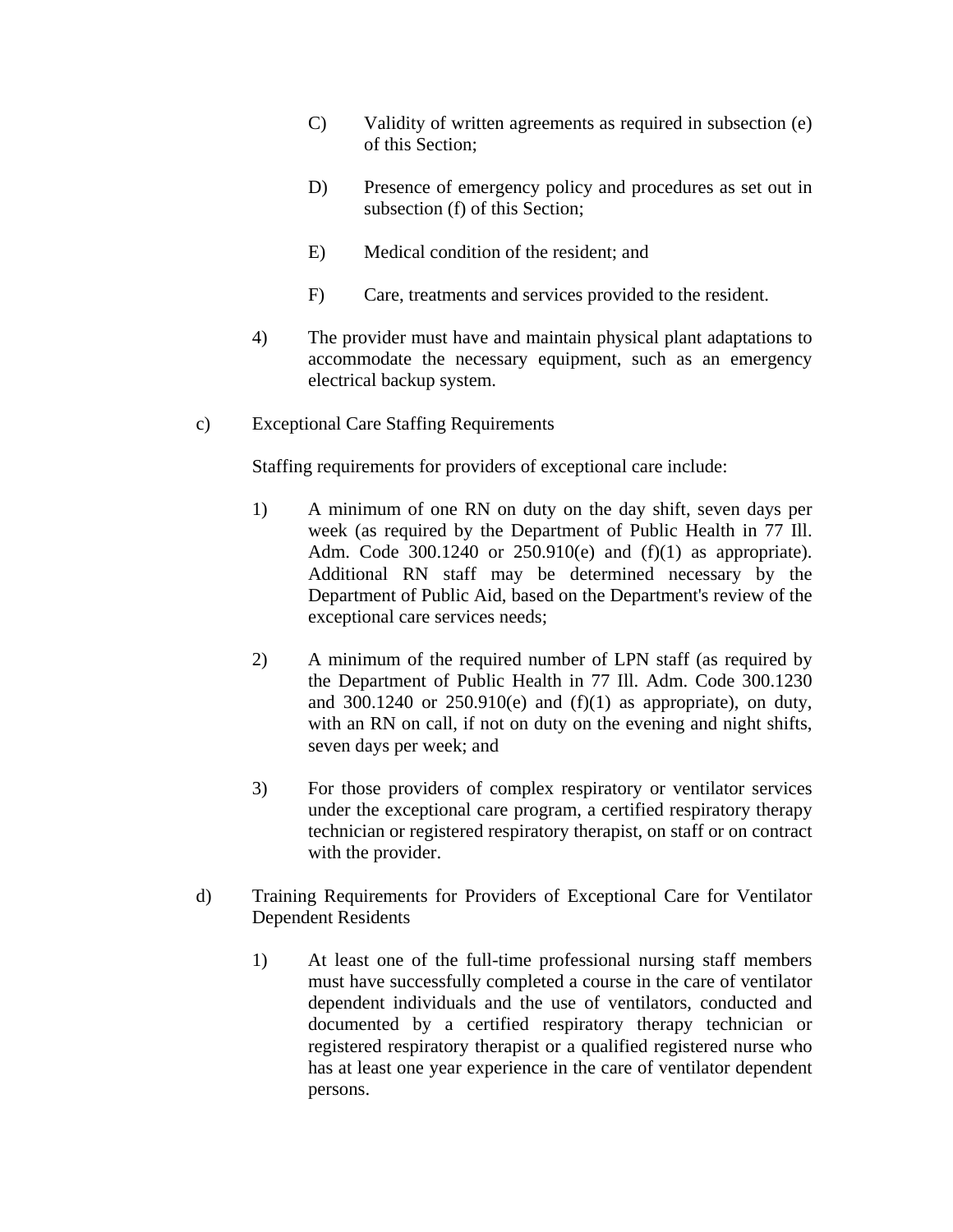- C) Validity of written agreements as required in subsection (e) of this Section;
- D) Presence of emergency policy and procedures as set out in subsection (f) of this Section;
- E) Medical condition of the resident; and
- F) Care, treatments and services provided to the resident.
- 4) The provider must have and maintain physical plant adaptations to accommodate the necessary equipment, such as an emergency electrical backup system.
- c) Exceptional Care Staffing Requirements

Staffing requirements for providers of exceptional care include:

- 1) A minimum of one RN on duty on the day shift, seven days per week (as required by the Department of Public Health in 77 Ill. Adm. Code 300.1240 or 250.910(e) and (f)(1) as appropriate). Additional RN staff may be determined necessary by the Department of Public Aid, based on the Department's review of the exceptional care services needs;
- 2) A minimum of the required number of LPN staff (as required by the Department of Public Health in 77 Ill. Adm. Code 300.1230 and  $300.1240$  or  $250.910(e)$  and  $(f)(1)$  as appropriate), on duty, with an RN on call, if not on duty on the evening and night shifts, seven days per week; and
- 3) For those providers of complex respiratory or ventilator services under the exceptional care program, a certified respiratory therapy technician or registered respiratory therapist, on staff or on contract with the provider.
- d) Training Requirements for Providers of Exceptional Care for Ventilator Dependent Residents
	- 1) At least one of the full-time professional nursing staff members must have successfully completed a course in the care of ventilator dependent individuals and the use of ventilators, conducted and documented by a certified respiratory therapy technician or registered respiratory therapist or a qualified registered nurse who has at least one year experience in the care of ventilator dependent persons.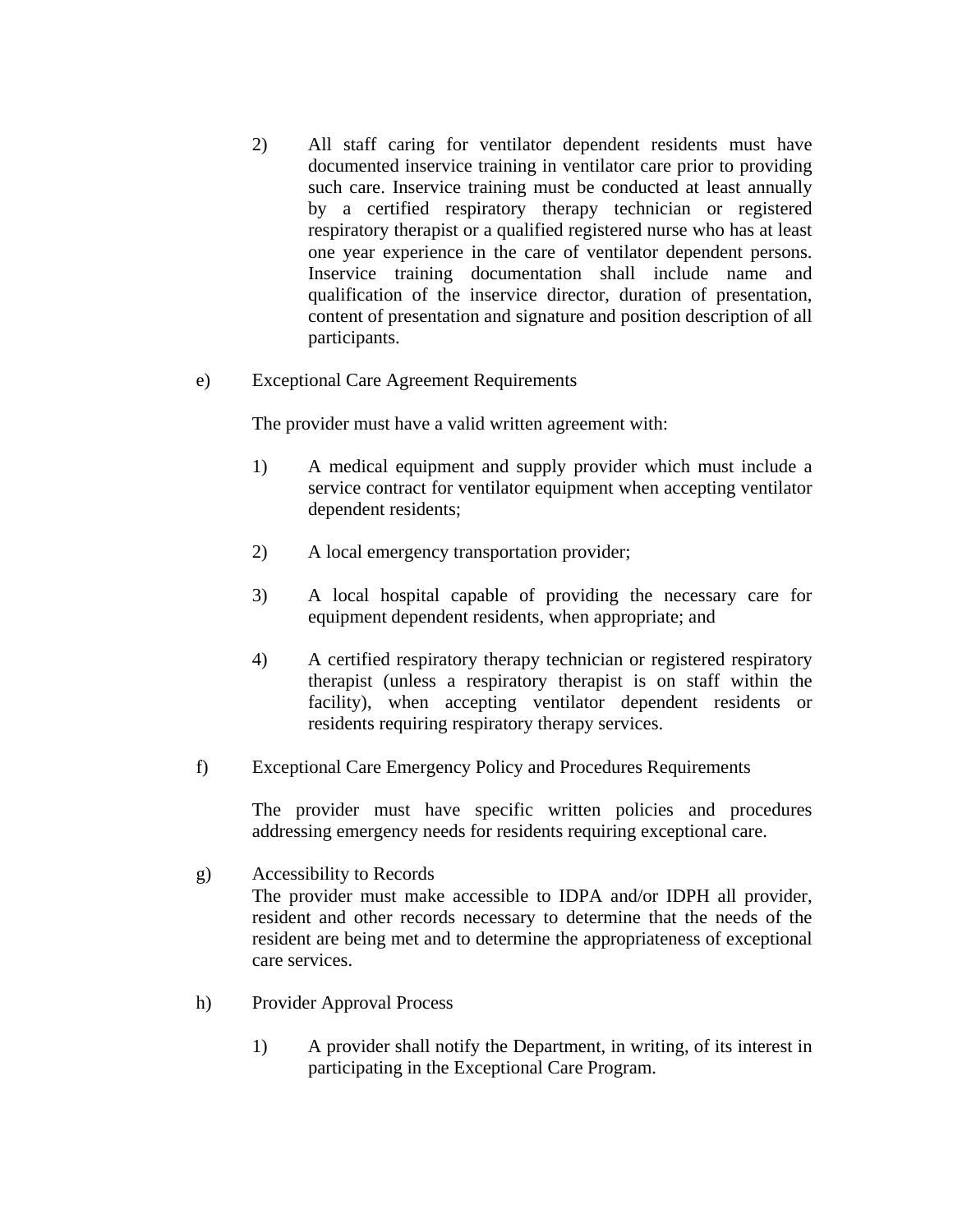- 2) All staff caring for ventilator dependent residents must have documented inservice training in ventilator care prior to providing such care. Inservice training must be conducted at least annually by a certified respiratory therapy technician or registered respiratory therapist or a qualified registered nurse who has at least one year experience in the care of ventilator dependent persons. Inservice training documentation shall include name and qualification of the inservice director, duration of presentation, content of presentation and signature and position description of all participants.
- e) Exceptional Care Agreement Requirements

The provider must have a valid written agreement with:

- 1) A medical equipment and supply provider which must include a service contract for ventilator equipment when accepting ventilator dependent residents;
- 2) A local emergency transportation provider;
- 3) A local hospital capable of providing the necessary care for equipment dependent residents, when appropriate; and
- 4) A certified respiratory therapy technician or registered respiratory therapist (unless a respiratory therapist is on staff within the facility), when accepting ventilator dependent residents or residents requiring respiratory therapy services.
- f) Exceptional Care Emergency Policy and Procedures Requirements

The provider must have specific written policies and procedures addressing emergency needs for residents requiring exceptional care.

g) Accessibility to Records

The provider must make accessible to IDPA and/or IDPH all provider, resident and other records necessary to determine that the needs of the resident are being met and to determine the appropriateness of exceptional care services.

- h) Provider Approval Process
	- 1) A provider shall notify the Department, in writing, of its interest in participating in the Exceptional Care Program.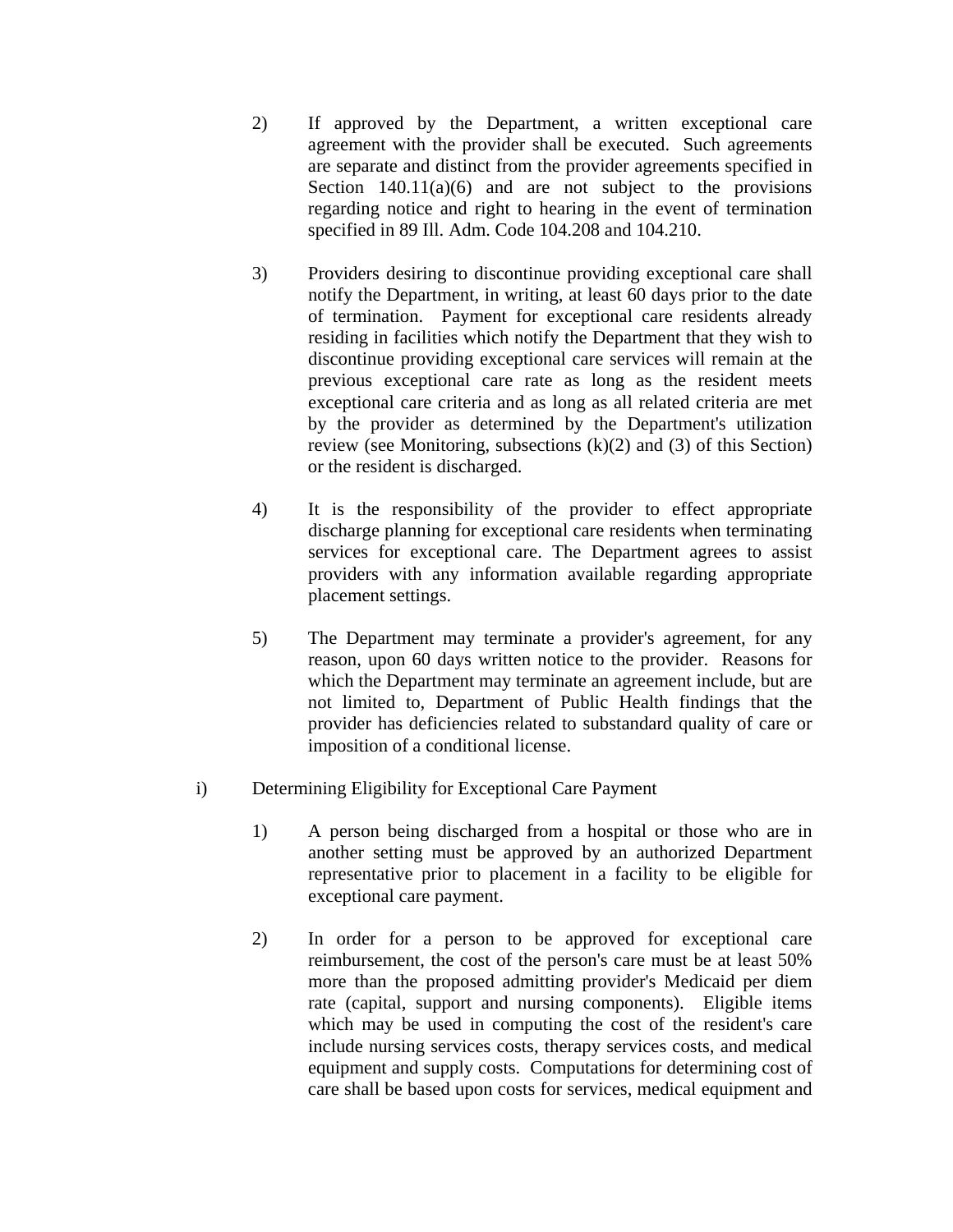- 2) If approved by the Department, a written exceptional care agreement with the provider shall be executed. Such agreements are separate and distinct from the provider agreements specified in Section  $140.11(a)(6)$  and are not subject to the provisions regarding notice and right to hearing in the event of termination specified in 89 Ill. Adm. Code 104.208 and 104.210.
- 3) Providers desiring to discontinue providing exceptional care shall notify the Department, in writing, at least 60 days prior to the date of termination. Payment for exceptional care residents already residing in facilities which notify the Department that they wish to discontinue providing exceptional care services will remain at the previous exceptional care rate as long as the resident meets exceptional care criteria and as long as all related criteria are met by the provider as determined by the Department's utilization review (see Monitoring, subsections (k)(2) and (3) of this Section) or the resident is discharged.
- 4) It is the responsibility of the provider to effect appropriate discharge planning for exceptional care residents when terminating services for exceptional care. The Department agrees to assist providers with any information available regarding appropriate placement settings.
- 5) The Department may terminate a provider's agreement, for any reason, upon 60 days written notice to the provider. Reasons for which the Department may terminate an agreement include, but are not limited to, Department of Public Health findings that the provider has deficiencies related to substandard quality of care or imposition of a conditional license.
- i) Determining Eligibility for Exceptional Care Payment
	- 1) A person being discharged from a hospital or those who are in another setting must be approved by an authorized Department representative prior to placement in a facility to be eligible for exceptional care payment.
	- 2) In order for a person to be approved for exceptional care reimbursement, the cost of the person's care must be at least 50% more than the proposed admitting provider's Medicaid per diem rate (capital, support and nursing components). Eligible items which may be used in computing the cost of the resident's care include nursing services costs, therapy services costs, and medical equipment and supply costs. Computations for determining cost of care shall be based upon costs for services, medical equipment and